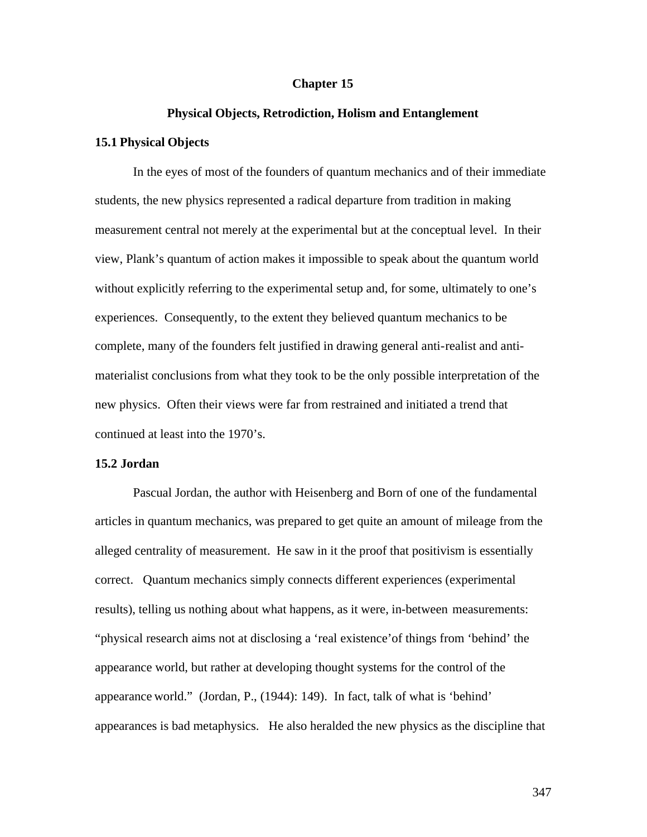#### **Chapter 15**

### **Physical Objects, Retrodiction, Holism and Entanglement**

### **15.1 Physical Objects**

In the eyes of most of the founders of quantum mechanics and of their immediate students, the new physics represented a radical departure from tradition in making measurement central not merely at the experimental but at the conceptual level. In their view, Plank's quantum of action makes it impossible to speak about the quantum world without explicitly referring to the experimental setup and, for some, ultimately to one's experiences. Consequently, to the extent they believed quantum mechanics to be complete, many of the founders felt justified in drawing general anti-realist and antimaterialist conclusions from what they took to be the only possible interpretation of the new physics. Often their views were far from restrained and initiated a trend that continued at least into the 1970's.

#### **15.2 Jordan**

Pascual Jordan, the author with Heisenberg and Born of one of the fundamental articles in quantum mechanics, was prepared to get quite an amount of mileage from the alleged centrality of measurement. He saw in it the proof that positivism is essentially correct. Quantum mechanics simply connects different experiences (experimental results), telling us nothing about what happens, as it were, in-between measurements: "physical research aims not at disclosing a 'real existence'of things from 'behind' the appearance world, but rather at developing thought systems for the control of the appearance world." (Jordan, P., (1944): 149). In fact, talk of what is 'behind' appearances is bad metaphysics. He also heralded the new physics as the discipline that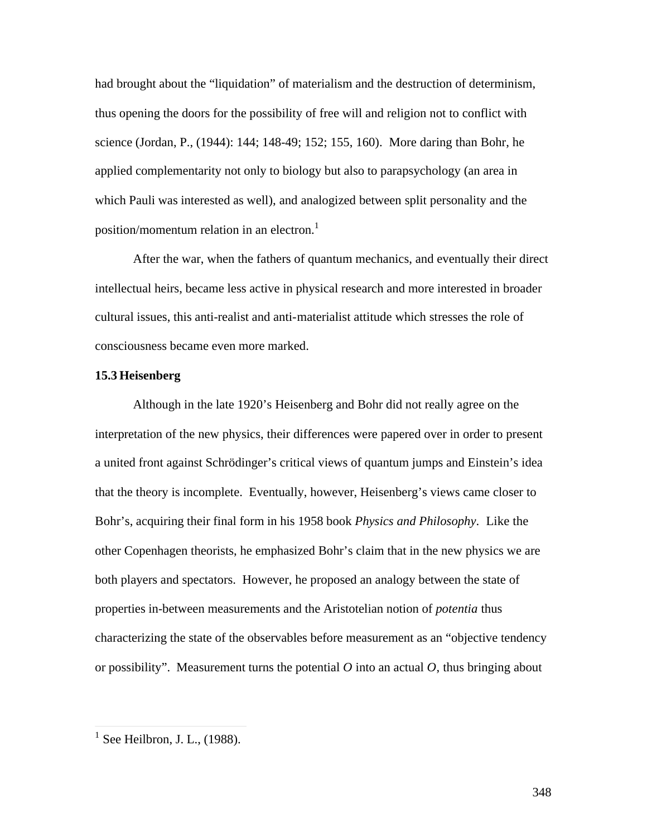had brought about the "liquidation" of materialism and the destruction of determinism, thus opening the doors for the possibility of free will and religion not to conflict with science (Jordan, P., (1944): 144; 148-49; 152; 155, 160). More daring than Bohr, he applied complementarity not only to biology but also to parapsychology (an area in which Pauli was interested as well), and analogized between split personality and the position/momentum relation in an electron.<sup>1</sup>

After the war, when the fathers of quantum mechanics, and eventually their direct intellectual heirs, became less active in physical research and more interested in broader cultural issues, this anti-realist and anti-materialist attitude which stresses the role of consciousness became even more marked.

#### **15.3 Heisenberg**

Although in the late 1920's Heisenberg and Bohr did not really agree on the interpretation of the new physics, their differences were papered over in order to present a united front against Schrödinger's critical views of quantum jumps and Einstein's idea that the theory is incomplete. Eventually, however, Heisenberg's views came closer to Bohr's, acquiring their final form in his 1958 book *Physics and Philosophy*. Like the other Copenhagen theorists, he emphasized Bohr's claim that in the new physics we are both players and spectators. However, he proposed an analogy between the state of properties in-between measurements and the Aristotelian notion of *potentia* thus characterizing the state of the observables before measurement as an "objective tendency or possibility". Measurement turns the potential  $O$  into an actual  $O$ , thus bringing about

<sup>&</sup>lt;sup>1</sup> See Heilbron, J. L., (1988).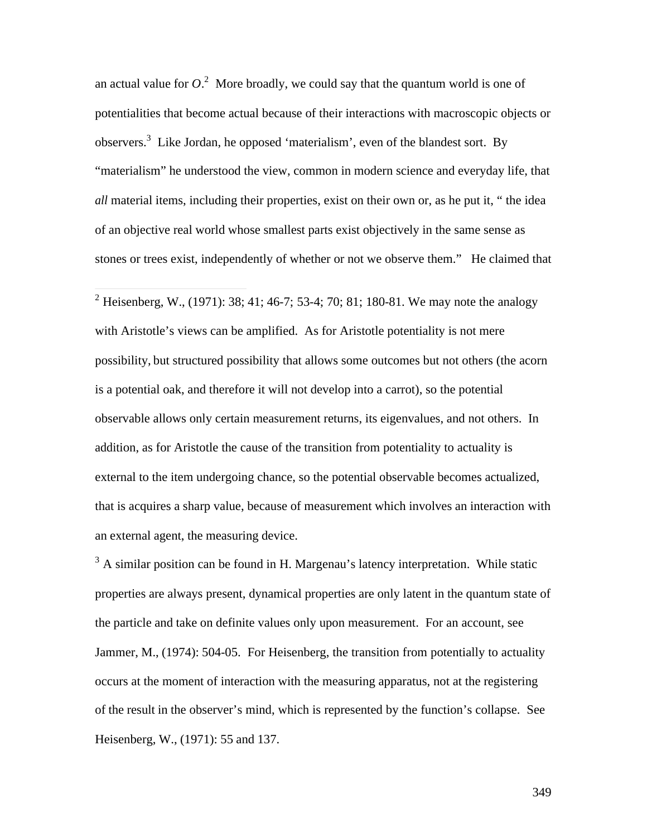an actual value for  $O<sup>2</sup>$ . More broadly, we could say that the quantum world is one of potentialities that become actual because of their interactions with macroscopic objects or observers.<sup>3</sup> Like Jordan, he opposed 'materialism', even of the blandest sort. By "materialism" he understood the view, common in modern science and everyday life, that *all* material items, including their properties, exist on their own or, as he put it, " the idea of an objective real world whose smallest parts exist objectively in the same sense as stones or trees exist, independently of whether or not we observe them." He claimed that

<sup>2</sup> Heisenberg, W., (1971): 38; 41; 46-7; 53-4; 70; 81; 180-81. We may note the analogy with Aristotle's views can be amplified. As for Aristotle potentiality is not mere possibility, but structured possibility that allows some outcomes but not others (the acorn is a potential oak, and therefore it will not develop into a carrot), so the potential observable allows only certain measurement returns, its eigenvalues, and not others. In addition, as for Aristotle the cause of the transition from potentiality to actuality is external to the item undergoing chance, so the potential observable becomes actualized, that is acquires a sharp value, because of measurement which involves an interaction with an external agent, the measuring device.

 $3$  A similar position can be found in H. Margenau's latency interpretation. While static properties are always present, dynamical properties are only latent in the quantum state of the particle and take on definite values only upon measurement. For an account, see Jammer, M., (1974): 504-05. For Heisenberg, the transition from potentially to actuality occurs at the moment of interaction with the measuring apparatus, not at the registering of the result in the observer's mind, which is represented by the function's collapse. See Heisenberg, W., (1971): 55 and 137.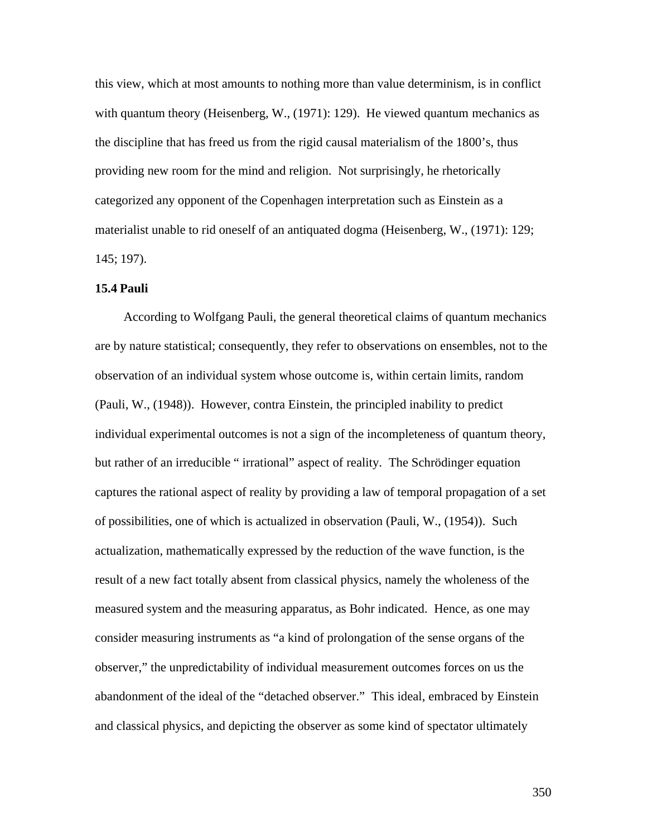this view, which at most amounts to nothing more than value determinism, is in conflict with quantum theory (Heisenberg, W., (1971): 129). He viewed quantum mechanics as the discipline that has freed us from the rigid causal materialism of the 1800's, thus providing new room for the mind and religion. Not surprisingly, he rhetorically categorized any opponent of the Copenhagen interpretation such as Einstein as a materialist unable to rid oneself of an antiquated dogma (Heisenberg, W., (1971): 129; 145; 197).

## **15.4 Pauli**

According to Wolfgang Pauli, the general theoretical claims of quantum mechanics are by nature statistical; consequently, they refer to observations on ensembles, not to the observation of an individual system whose outcome is, within certain limits, random (Pauli, W., (1948)). However, contra Einstein, the principled inability to predict individual experimental outcomes is not a sign of the incompleteness of quantum theory, but rather of an irreducible " irrational" aspect of reality. The Schrödinger equation captures the rational aspect of reality by providing a law of temporal propagation of a set of possibilities, one of which is actualized in observation (Pauli, W., (1954)). Such actualization, mathematically expressed by the reduction of the wave function, is the result of a new fact totally absent from classical physics, namely the wholeness of the measured system and the measuring apparatus, as Bohr indicated. Hence, as one may consider measuring instruments as "a kind of prolongation of the sense organs of the observer," the unpredictability of individual measurement outcomes forces on us the abandonment of the ideal of the "detached observer." This ideal, embraced by Einstein and classical physics, and depicting the observer as some kind of spectator ultimately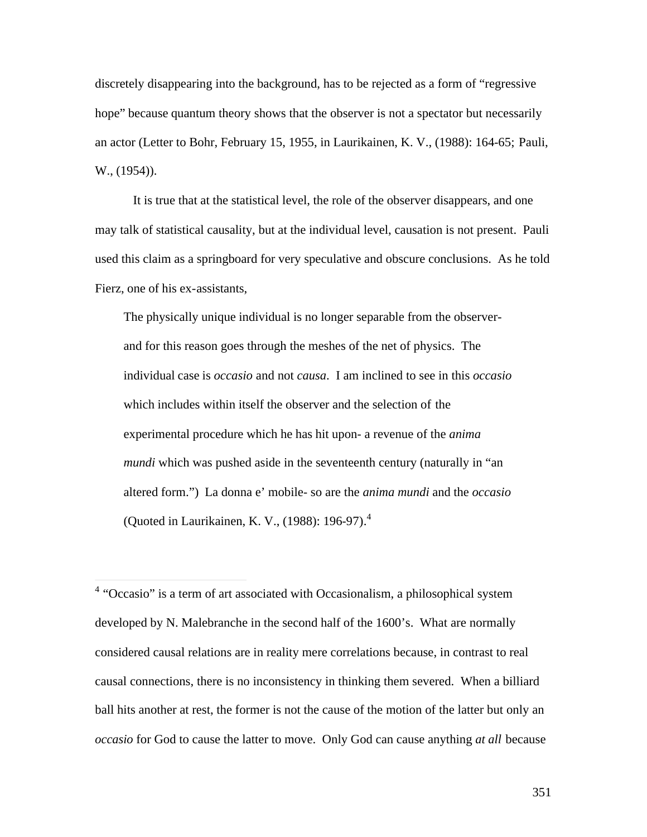discretely disappearing into the background, has to be rejected as a form of "regressive hope" because quantum theory shows that the observer is not a spectator but necessarily an actor (Letter to Bohr, February 15, 1955, in Laurikainen, K. V., (1988): 164-65; Pauli, W., (1954)).

It is true that at the statistical level, the role of the observer disappears, and one may talk of statistical causality, but at the individual level, causation is not present. Pauli used this claim as a springboard for very speculative and obscure conclusions. As he told Fierz, one of his ex-assistants,

The physically unique individual is no longer separable from the observerand for this reason goes through the meshes of the net of physics. The individual case is *occasio* and not *causa*. I am inclined to see in this *occasio* which includes within itself the observer and the selection of the experimental procedure which he has hit upon- a revenue of the *anima mundi* which was pushed aside in the seventeenth century (naturally in "an altered form.") La donna e' mobile- so are the *anima mundi* and the *occasio* (Quoted in Laurikainen, K. V., (1988): 196-97).<sup>4</sup>

 4 "Occasio" is a term of art associated with Occasionalism, a philosophical system developed by N. Malebranche in the second half of the 1600's. What are normally considered causal relations are in reality mere correlations because, in contrast to real causal connections, there is no inconsistency in thinking them severed. When a billiard ball hits another at rest, the former is not the cause of the motion of the latter but only an *occasio* for God to cause the latter to move. Only God can cause anything *at all* because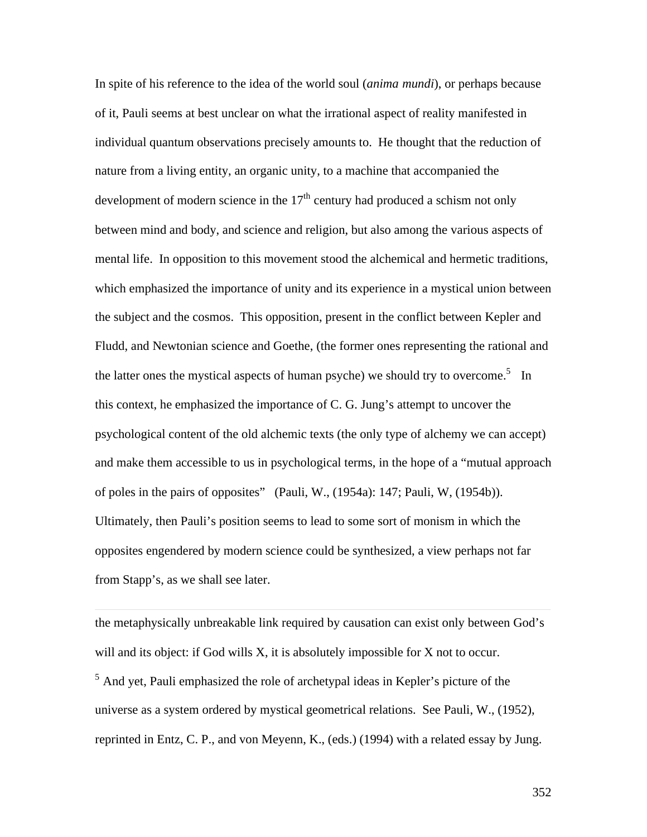In spite of his reference to the idea of the world soul (*anima mundi*), or perhaps because of it, Pauli seems at best unclear on what the irrational aspect of reality manifested in individual quantum observations precisely amounts to. He thought that the reduction of nature from a living entity, an organic unity, to a machine that accompanied the development of modern science in the  $17<sup>th</sup>$  century had produced a schism not only between mind and body, and science and religion, but also among the various aspects of mental life. In opposition to this movement stood the alchemical and hermetic traditions, which emphasized the importance of unity and its experience in a mystical union between the subject and the cosmos. This opposition, present in the conflict between Kepler and Fludd, and Newtonian science and Goethe, (the former ones representing the rational and the latter ones the mystical aspects of human psyche) we should try to overcome.<sup>5</sup> In this context, he emphasized the importance of C. G. Jung's attempt to uncover the psychological content of the old alchemic texts (the only type of alchemy we can accept) and make them accessible to us in psychological terms, in the hope of a "mutual approach of poles in the pairs of opposites" (Pauli, W., (1954a): 147; Pauli, W, (1954b)). Ultimately, then Pauli's position seems to lead to some sort of monism in which the opposites engendered by modern science could be synthesized, a view perhaps not far from Stapp's, as we shall see later.

the metaphysically unbreakable link required by causation can exist only between God's will and its object: if God wills X, it is absolutely impossible for X not to occur.

 $\overline{a}$ 

<sup>5</sup> And yet, Pauli emphasized the role of archetypal ideas in Kepler's picture of the universe as a system ordered by mystical geometrical relations. See Pauli, W., (1952), reprinted in Entz, C. P., and von Meyenn, K., (eds.) (1994) with a related essay by Jung.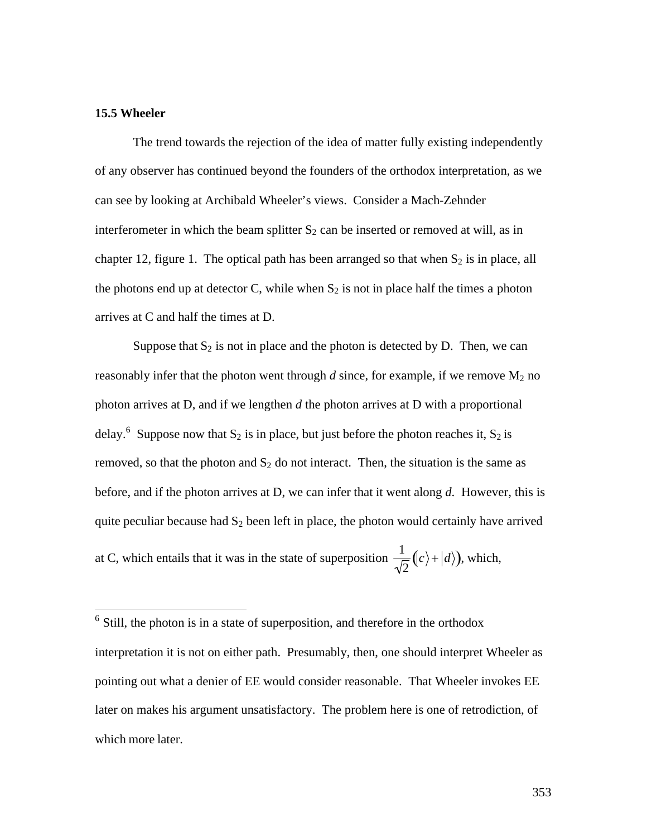## **15.5 Wheeler**

The trend towards the rejection of the idea of matter fully existing independently of any observer has continued beyond the founders of the orthodox interpretation, as we can see by looking at Archibald Wheeler's views. Consider a Mach-Zehnder interferometer in which the beam splitter  $S_2$  can be inserted or removed at will, as in chapter 12, figure 1. The optical path has been arranged so that when  $S_2$  is in place, all the photons end up at detector C, while when  $S_2$  is not in place half the times a photon arrives at C and half the times at D.

Suppose that  $S_2$  is not in place and the photon is detected by D. Then, we can reasonably infer that the photon went through  $d$  since, for example, if we remove  $M_2$  no photon arrives at D, and if we lengthen *d* the photon arrives at D with a proportional delay.<sup>6</sup> Suppose now that S<sub>2</sub> is in place, but just before the photon reaches it, S<sub>2</sub> is removed, so that the photon and  $S_2$  do not interact. Then, the situation is the same as before, and if the photon arrives at D, we can infer that it went along *d*. However, this is quite peculiar because had  $S_2$  been left in place, the photon would certainly have arrived at C, which entails that it was in the state of superposition  $\frac{1}{\sqrt{2}}(|c\rangle + |d\rangle)$  $\frac{1}{2}(|c\rangle + |d\rangle)$ , which,

nd the <sup>6</sup> Still, the photon is in a state of superposition, and therefore in the orthodox interpretation it is not on either path. Presumably, then, one should interpret Wheeler as pointing out what a denier of EE would consider reasonable. That Wheeler invokes EE later on makes his argument unsatisfactory. The problem here is one of retrodiction, of which more later.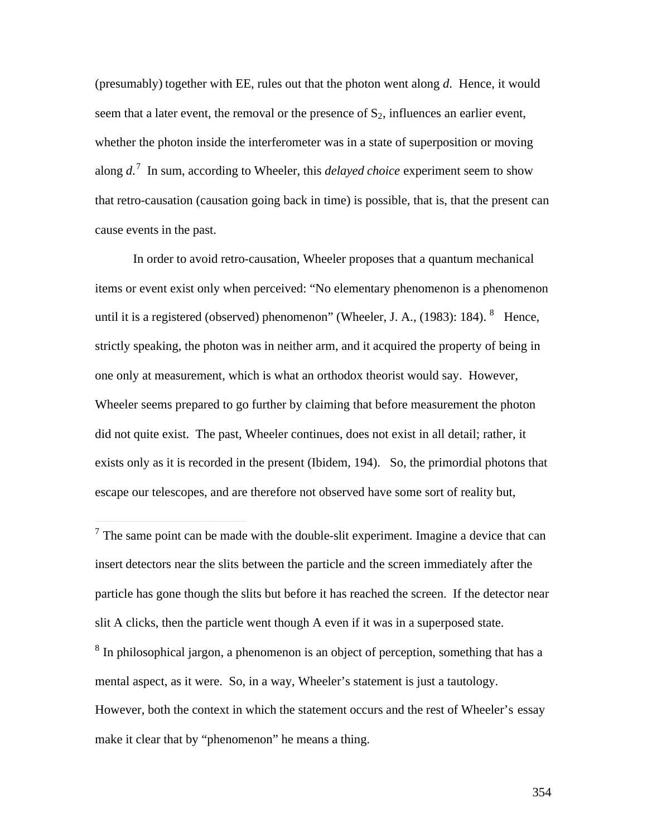(presumably) together with EE, rules out that the photon went along *d*. Hence, it would seem that a later event, the removal or the presence of  $S_2$ , influences an earlier event, whether the photon inside the interferometer was in a state of superposition or moving along *d*. 7 In sum, according to Wheeler, this *delayed choice* experiment seem to show that retro-causation (causation going back in time) is possible, that is, that the present can cause events in the past.

In order to avoid retro-causation, Wheeler proposes that a quantum mechanical items or event exist only when perceived: "No elementary phenomenon is a phenomenon until it is a registered (observed) phenomenon" (Wheeler, J. A.,  $(1983)$ : 184). <sup>8</sup> Hence, strictly speaking, the photon was in neither arm, and it acquired the property of being in one only at measurement, which is what an orthodox theorist would say. However, Wheeler seems prepared to go further by claiming that before measurement the photon did not quite exist. The past, Wheeler continues, does not exist in all detail; rather, it exists only as it is recorded in the present (Ibidem, 194). So, the primordial photons that escape our telescopes, and are therefore not observed have some sort of reality but,

 $<sup>7</sup>$  The same point can be made with the double-slit experiment. Imagine a device that can</sup> insert detectors near the slits between the particle and the screen immediately after the particle has gone though the slits but before it has reached the screen. If the detector near slit A clicks, then the particle went though A even if it was in a superposed state. <sup>8</sup> In philosophical jargon, a phenomenon is an object of perception, something that has a mental aspect, as it were. So, in a way, Wheeler's statement is just a tautology.

 $\overline{a}$ 

However, both the context in which the statement occurs and the rest of Wheeler's essay make it clear that by "phenomenon" he means a thing.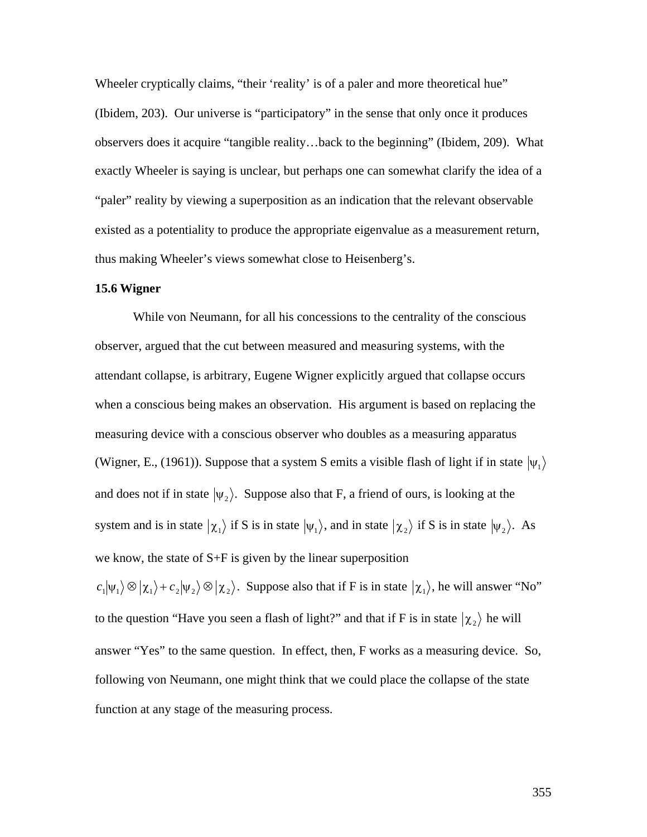Wheeler cryptically claims, "their 'reality' is of a paler and more theoretical hue" (Ibidem, 203). Our universe is "participatory" in the sense that only once it produces observers does it acquire "tangible reality…back to the beginning" (Ibidem, 209). What exactly Wheeler is saying is unclear, but perhaps one can somewhat clarify the idea of a "paler" reality by viewing a superposition as an indication that the relevant observable existed as a potentiality to produce the appropriate eigenvalue as a measurement return, thus making Wheeler's views somewhat close to Heisenberg's.

### **15.6 Wigner**

While von Neumann, for all his concessions to the centrality of the conscious observer, argued that the cut between measured and measuring systems, with the attendant collapse, is arbitrary, Eugene Wigner explicitly argued that collapse occurs when a conscious being makes an observation. His argument is based on replacing the measuring device with a conscious observer who doubles as a measuring apparatus (Wigner, E., (1961)). Suppose that a system S emits a visible flash of light if in state  $|\psi_1\rangle$ system and is in state  $|\chi_1\rangle$  if S is in state  $|\psi_1\rangle$ , and in state  $|\chi_2\rangle$  if S is in state  $|\psi_2\rangle$ . As and does not if in state  $|\psi_2\rangle$ . Suppose also that F, a friend of ours, is looking at the  $\mathbf{r}$ we know, the state of S+F is given by the linear superposition

 $\langle c_1|\psi_1\rangle \otimes |\chi_1\rangle + c_2|\psi_2\rangle \otimes |\chi_2\rangle$ . Suppose also that if F is in state  $|\chi_1\rangle$ , he will answer "No" † to the question "Have you seen a flash of light?" and that if F is in state  $|\chi_2\rangle$  he will following von Neumann, one might think that we could place the collapse of the state answer "Yes" to the same question. In effect, then, F works as a measuring device. So, function at any stage of the measuring process.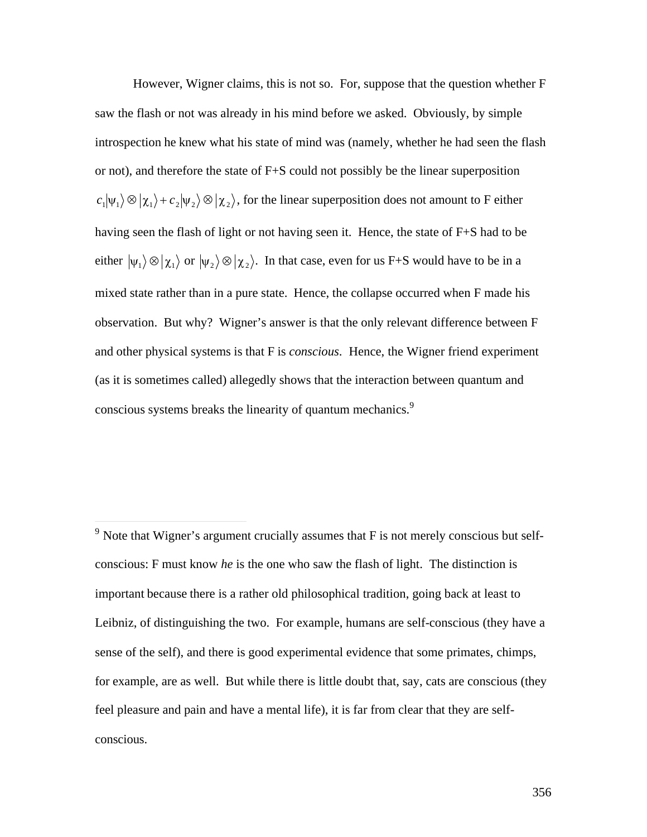However, Wigner claims, this is not so. For, suppose that the question whether F saw the flash or not was already in his mind before we asked. Obviously, by simple introspection he knew what his state of mind was (namely, whether he had seen the flash or not), and therefore the state of F+S could not possibly be the linear superposition  $c_1|\psi_1\rangle \otimes |\chi_1\rangle + c_2|\psi_2\rangle \otimes |\chi_2\rangle$ , for the linear superposition does not amount to F either having seen the flash of light or not having seen it. Hence, the state of F+S had to be either  $|\psi_1\rangle \otimes |\chi_1\rangle$  or  $|\psi_2\rangle \otimes |\chi_2\rangle$ . In that case, even for us F+S would have to be in a † † observation. But why? Wigner's answer is that the only relevant difference between F mixed state rather than in a pure state. Hence, the collapse occurred when F made his and other physical systems is that F is *conscious*. Hence, the Wigner friend experiment (as it is sometimes called) allegedly shows that the interaction between quantum and conscious systems breaks the linearity of quantum mechanics.<sup>9</sup>

 $\overline{a}$ 

 $9$  Note that Wigner's argument crucially assumes that F is not merely conscious but selfconscious: F must know *he* is the one who saw the flash of light. The distinction is important because there is a rather old philosophical tradition, going back at least to Leibniz, of distinguishing the two. For example, humans are self-conscious (they have a sense of the self), and there is good experimental evidence that some primates, chimps, for example, are as well. But while there is little doubt that, say, cats are conscious (they feel pleasure and pain and have a mental life), it is far from clear that they are selfconscious.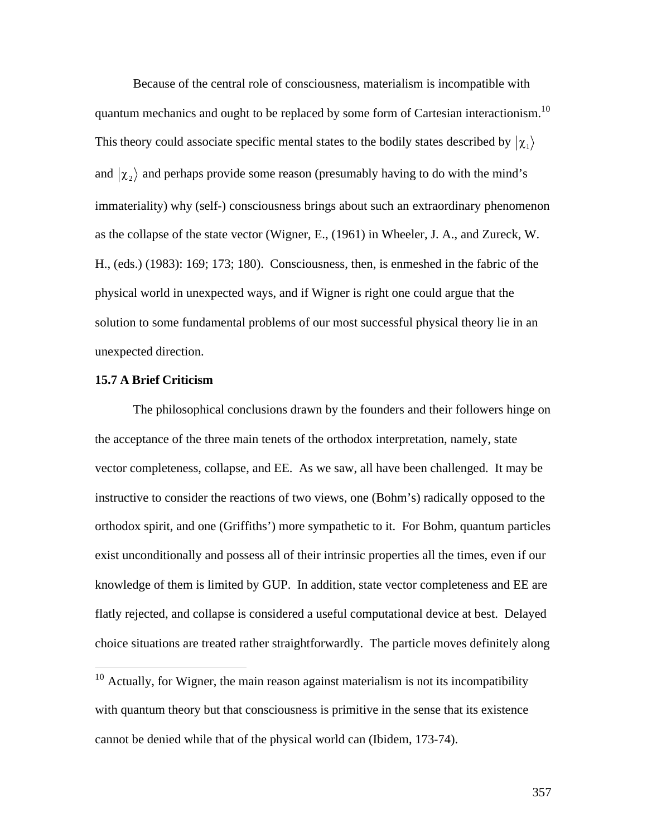Because of the central role of consciousness, materialism is incompatible with quantum mechanics and ought to be replaced by some form of Cartesian interactionism.<sup>10</sup> This theory could associate specific mental states to the bodily states described by  $|\chi_1\rangle$  $\mathbf{r}^{\text{th}}$ and  $\ket{\chi_2}$  and perhaps provide some reason (presumably having to do with the mind's  $\mathbb{R}^n$ immateriality) why (self-) consciousness brings about such an extraordinary phenomenon as the collapse of the state vector (Wigner, E., (1961) in Wheeler, J. A., and Zureck, W. H., (eds.) (1983): 169; 173; 180). Consciousness, then, is enmeshed in the fabric of the physical world in unexpected ways, and if Wigner is right one could argue that the solution to some fundamental problems of our most successful physical theory lie in an unexpected direction.

# **15.7 A Brief Criticism**

 $\overline{a}$ 

The philosophical conclusions drawn by the founders and their followers hinge on the acceptance of the three main tenets of the orthodox interpretation, namely, state vector completeness, collapse, and EE. As we saw, all have been challenged. It may be instructive to consider the reactions of two views, one (Bohm's) radically opposed to the orthodox spirit, and one (Griffiths') more sympathetic to it. For Bohm, quantum particles exist unconditionally and possess all of their intrinsic properties all the times, even if our knowledge of them is limited by GUP. In addition, state vector completeness and EE are flatly rejected, and collapse is considered a useful computational device at best. Delayed choice situations are treated rather straightforwardly. The particle moves definitely along

 $10$  Actually, for Wigner, the main reason against materialism is not its incompatibility with quantum theory but that consciousness is primitive in the sense that its existence cannot be denied while that of the physical world can (Ibidem, 173-74).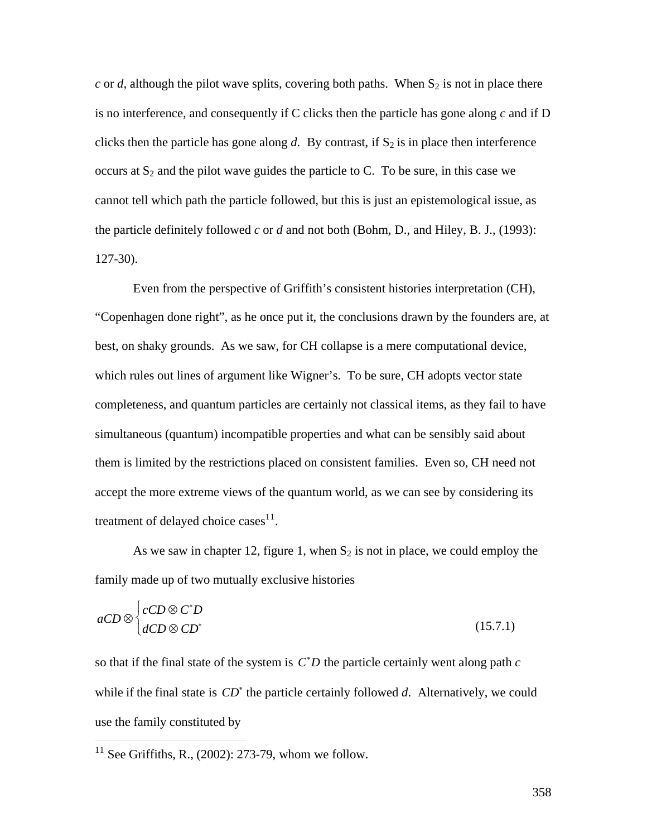$c$  or  $d$ , although the pilot wave splits, covering both paths. When  $S_2$  is not in place there is no interference, and consequently if C clicks then the particle has gone along *c* and if D clicks then the particle has gone along  $d$ . By contrast, if  $S_2$  is in place then interference occurs at  $S_2$  and the pilot wave guides the particle to C. To be sure, in this case we cannot tell which path the particle followed, but this is just an epistemological issue, as the particle definitely followed *c* or *d* and not both (Bohm, D., and Hiley, B. J., (1993): 127-30).

Even from the perspective of Griffith's consistent histories interpretation (CH), "Copenhagen done right", as he once put it, the conclusions drawn by the founders are, at best, on shaky grounds. As we saw, for CH collapse is a mere computational device, which rules out lines of argument like Wigner's. To be sure, CH adopts vector state completeness, and quantum particles are certainly not classical items, as they fail to have simultaneous (quantum) incompatible properties and what can be sensibly said about them is limited by the restrictions placed on consistent families. Even so, CH need not accept the more extreme views of the quantum world, as we can see by considering its treatment of delayed choice cases $^{11}$ .

As we saw in chapter 12, figure 1, when  $S_2$  is not in place, we could employ the family made up of two mutually exclusive histories

$$
aCD \otimes \begin{cases} cCD \otimes C^*D \\ dCD \otimes CD^* \end{cases} \tag{15.7.1}
$$

so that if the final state of the system is *C* \**D* the particle certainly went along path *c* while if the final state is  $CD^*$  the particle certainly followed *d*. Alternatively, we could use the family constituted by

 $\frac{1}{1}$  $11$  See Griffiths, R., (2002): 273-79, whom we follow.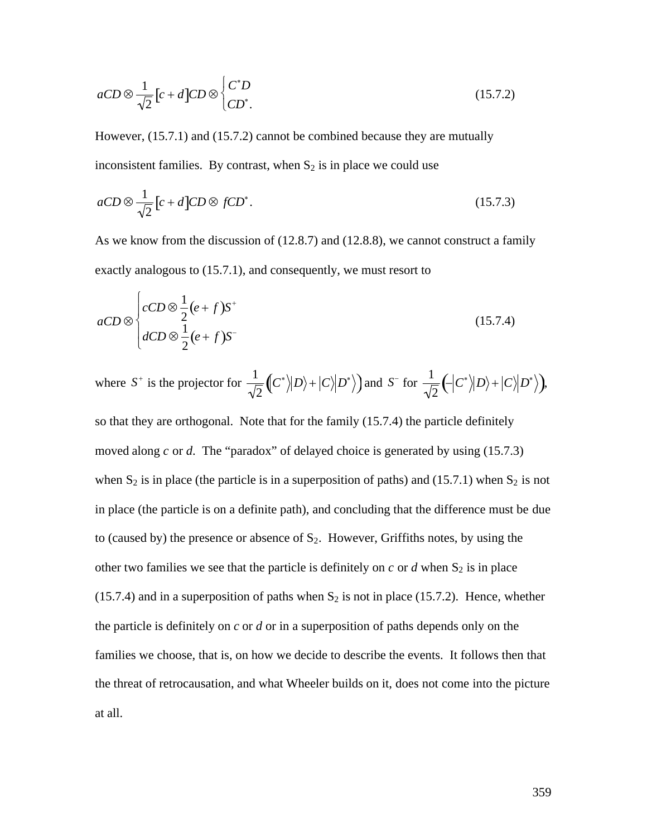$$
aCD \otimes \frac{1}{\sqrt{2}} \left[ c + d \right] CD \otimes \begin{cases} C^*D \\ CD^* \end{cases}
$$
 (15.7.2)

However, (15.7.1) and (15.7.2) cannot be combined because they are mutually inconsistent families. By contrast, when  $S_2$  is in place we could use

$$
aCD \otimes \frac{1}{\sqrt{2}} \left[ c + d \right] CD \otimes fCD^* . \tag{15.7.3}
$$

As we know from the discussion of (12.8.7) and (12.8.8), we cannot construct a family exactly analogous to (15.7.1), and consequently, we must resort to

$$
aCD \otimes \begin{cases} cCD \otimes \frac{1}{2} (e+f) S^+ \\ dCD \otimes \frac{1}{2} (e+f) S^- \end{cases}
$$
 (15.7.4)

where  $S^+$  is the projector for  $\frac{1}{\sqrt{2}}\left(C^*\right)|D$  $2^{\sqrt{1}}$  $\nonumber \left(\!\!\!\left\langle C^{*}\right\rangle\!\!\left\vert D\right\rangle\!\!\!\right\rangle \!\!\!\!\right) + \left\vert C \right\rangle\!\!\!\left\vert D^{*}\right\rangle \!\!\!\right)$  and  $S^{-}$  for  $\frac{1}{\sqrt{2}}\left(\!\! \left\langle C^{*}\right\rangle\!\!\left\vert D\right\rangle\!\!\!\right\rangle \!\!\!\!\right) + \left\vert C \right\rangle\!\!\!\left\vert D^{*}\right\rangle \!\!\!\!\right),$ 

moved along  $c$  or  $d$ . The "paradox" of delayed choice is generated by using (15.7.3) † 1920)<br>1920 – Paul Barthard, francouzsky francouzsky († 1920)<br>1920 – Paul Barthard, francouzsky francouzsky († 1920) so that they are orthogonal. Note that for the family (15.7.4) the particle definitely when  $S_2$  is in place (the particle is in a superposition of paths) and (15.7.1) when  $S_2$  is not in place (the particle is on a definite path), and concluding that the difference must be due to (caused by) the presence or absence of  $S_2$ . However, Griffiths notes, by using the other two families we see that the particle is definitely on  $c$  or  $d$  when  $S_2$  is in place (15.7.4) and in a superposition of paths when  $S_2$  is not in place (15.7.2). Hence, whether the particle is definitely on *c* or *d* or in a superposition of paths depends only on the families we choose, that is, on how we decide to describe the events. It follows then that the threat of retrocausation, and what Wheeler builds on it, does not come into the picture at all.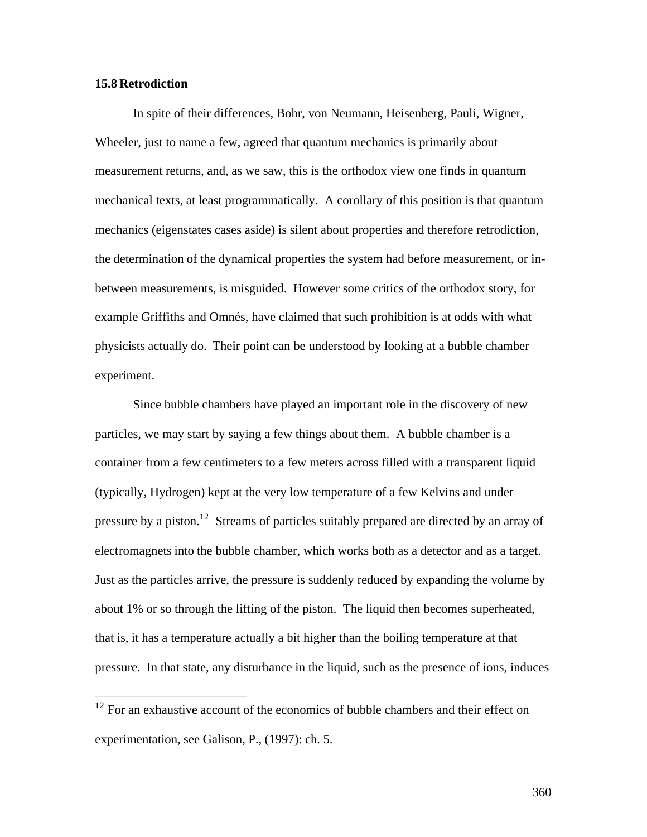# **15.8 Retrodiction**

 $\overline{a}$ 

In spite of their differences, Bohr, von Neumann, Heisenberg, Pauli, Wigner, Wheeler, just to name a few, agreed that quantum mechanics is primarily about measurement returns, and, as we saw, this is the orthodox view one finds in quantum mechanical texts, at least programmatically. A corollary of this position is that quantum mechanics (eigenstates cases aside) is silent about properties and therefore retrodiction, the determination of the dynamical properties the system had before measurement, or inbetween measurements, is misguided. However some critics of the orthodox story, for example Griffiths and Omnés, have claimed that such prohibition is at odds with what physicists actually do. Their point can be understood by looking at a bubble chamber experiment.

Since bubble chambers have played an important role in the discovery of new particles, we may start by saying a few things about them. A bubble chamber is a container from a few centimeters to a few meters across filled with a transparent liquid (typically, Hydrogen) kept at the very low temperature of a few Kelvins and under pressure by a piston.<sup>12</sup> Streams of particles suitably prepared are directed by an array of electromagnets into the bubble chamber, which works both as a detector and as a target. Just as the particles arrive, the pressure is suddenly reduced by expanding the volume by about 1% or so through the lifting of the piston. The liquid then becomes superheated, that is, it has a temperature actually a bit higher than the boiling temperature at that pressure. In that state, any disturbance in the liquid, such as the presence of ions, induces

 $12$  For an exhaustive account of the economics of bubble chambers and their effect on experimentation, see Galison, P., (1997): ch. 5.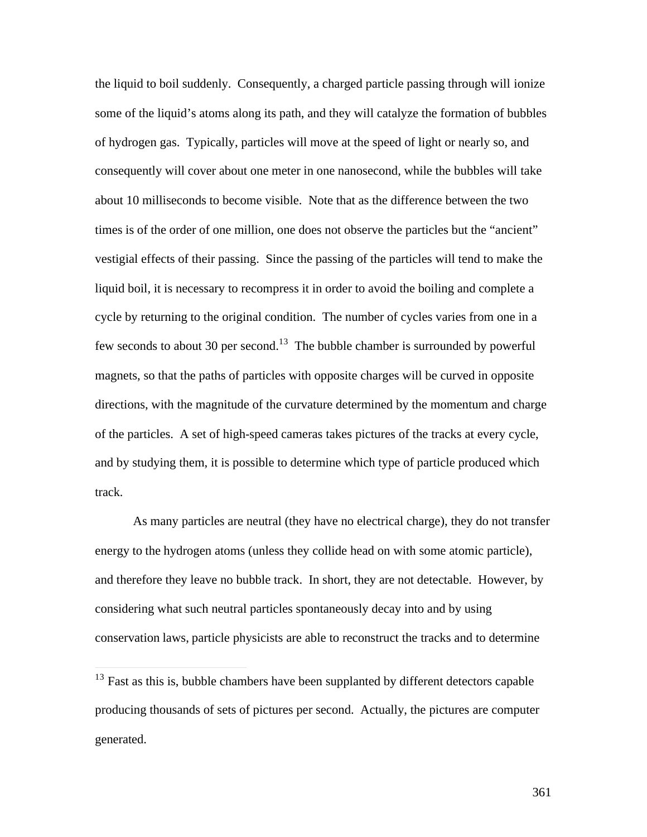the liquid to boil suddenly. Consequently, a charged particle passing through will ionize some of the liquid's atoms along its path, and they will catalyze the formation of bubbles of hydrogen gas. Typically, particles will move at the speed of light or nearly so, and consequently will cover about one meter in one nanosecond, while the bubbles will take about 10 milliseconds to become visible. Note that as the difference between the two times is of the order of one million, one does not observe the particles but the "ancient" vestigial effects of their passing. Since the passing of the particles will tend to make the liquid boil, it is necessary to recompress it in order to avoid the boiling and complete a cycle by returning to the original condition. The number of cycles varies from one in a few seconds to about 30 per second.<sup>13</sup> The bubble chamber is surrounded by powerful magnets, so that the paths of particles with opposite charges will be curved in opposite directions, with the magnitude of the curvature determined by the momentum and charge of the particles. A set of high-speed cameras takes pictures of the tracks at every cycle, and by studying them, it is possible to determine which type of particle produced which track.

As many particles are neutral (they have no electrical charge), they do not transfer energy to the hydrogen atoms (unless they collide head on with some atomic particle), and therefore they leave no bubble track. In short, they are not detectable. However, by considering what such neutral particles spontaneously decay into and by using conservation laws, particle physicists are able to reconstruct the tracks and to determine

 $\overline{a}$ 

 $13$  Fast as this is, bubble chambers have been supplanted by different detectors capable producing thousands of sets of pictures per second. Actually, the pictures are computer generated.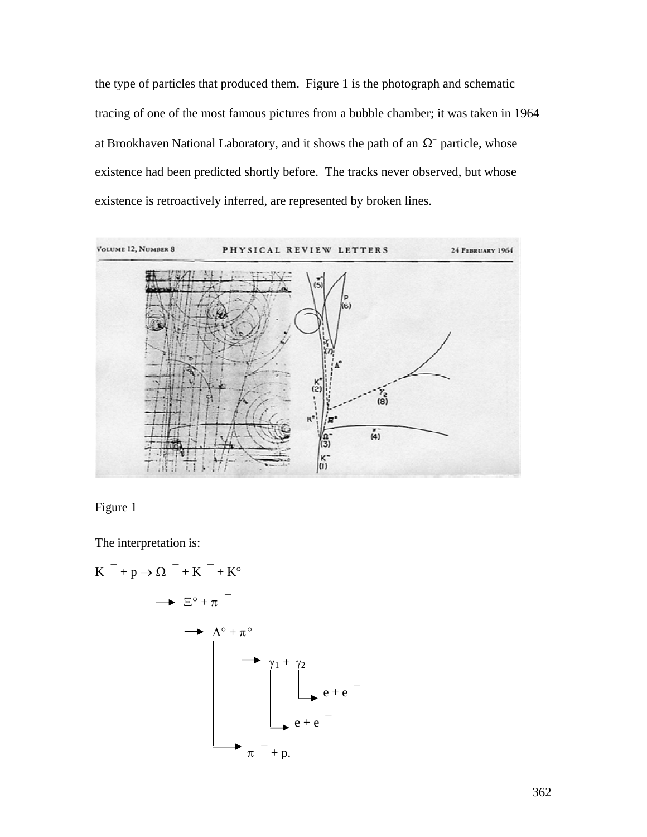the type of particles that produced them. Figure 1 is the photograph and schematic tracing of one of the most famous pictures from a bubble chamber; it was taken in 1964 at Brookhaven National Laboratory, and it shows the path of an  $\Omega$ <sup>-</sup> particle, whose existence is retroactively inferred, are represented by broken lines. existence had been predicted shortly before. The tracks never observed, but whose



Figure 1

The interpretation is:

K` + p Æ W` + K` + K° X° + p` L° + p° g1 + g<sup>2</sup> e + e` e + e` p` + p.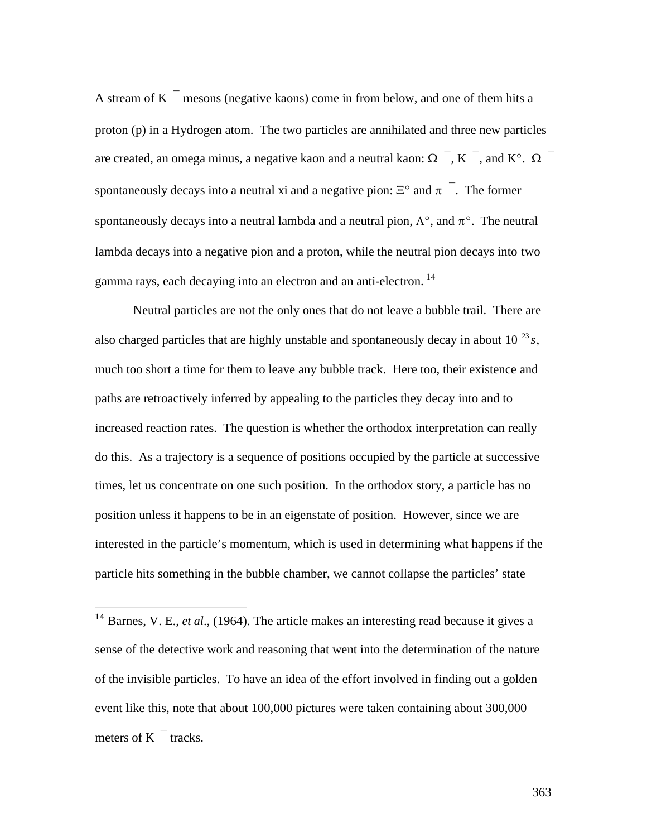A stream of K $\overline{\phantom{a}}$  mesons (negative kaons) come in from below, and one of them hits a proton (p) in a Hydrogen atom. The two particles are annihilated and three new particles are created, an omega minus, a negative kaon and a neutral kaon:  $\Omega^{-}$ , K<sup>-</sup>, and K°.  $\Omega^{-}$ spontaneously decays into a neutral xi and a negative pion:  $\Xi^{\circ}$  and  $\pi$  . The former spontaneously decays into a neutral lambda and a neutral pion,  $\Lambda^{\circ}$ , and  $\pi^{\circ}$ . The neutral lambda decays into a negative pion and a proton, while the neutral pion decays into two gamma rays, each decaying into an electron and an anti-electron.<sup>14</sup>

Neutral particles are not the only ones that do not leave a bubble trail. There are also charged particles that are highly unstable and spontaneously decay in about  $10^{-23} s$ , † paths are retroactively inferred by appealing to the particles they decay into and to much too short a time for them to leave any bubble track. Here too, their existence and increased reaction rates. The question is whether the orthodox interpretation can really do this. As a trajectory is a sequence of positions occupied by the particle at successive times, let us concentrate on one such position. In the orthodox story, a particle has no position unless it happens to be in an eigenstate of position. However, since we are interested in the particle's momentum, which is used in determining what happens if the particle hits something in the bubble chamber, we cannot collapse the particles' state

 $\overline{a}$ 

<sup>&</sup>lt;sup>14</sup> Barnes, V. E., *et al.*, (1964). The article makes an interesting read because it gives a sense of the detective work and reasoning that went into the determination of the nature of the invisible particles. To have an idea of the effort involved in finding out a golden event like this, note that about 100,000 pictures were taken containing about 300,000 meters of  $K$  tracks.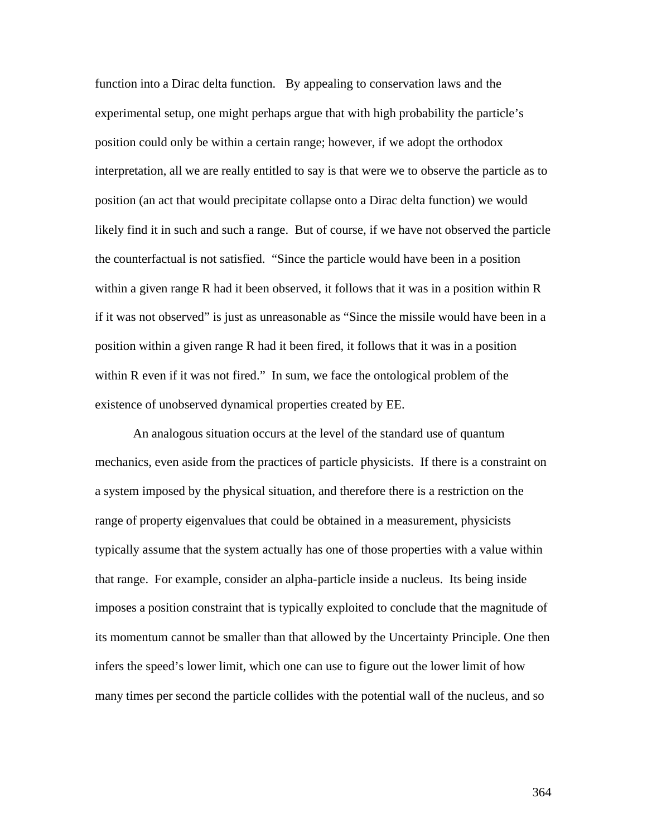function into a Dirac delta function. By appealing to conservation laws and the experimental setup, one might perhaps argue that with high probability the particle's position could only be within a certain range; however, if we adopt the orthodox interpretation, all we are really entitled to say is that were we to observe the particle as to position (an act that would precipitate collapse onto a Dirac delta function) we would likely find it in such and such a range. But of course, if we have not observed the particle the counterfactual is not satisfied. "Since the particle would have been in a position within a given range R had it been observed, it follows that it was in a position within R if it was not observed" is just as unreasonable as "Since the missile would have been in a position within a given range R had it been fired, it follows that it was in a position within R even if it was not fired." In sum, we face the ontological problem of the existence of unobserved dynamical properties created by EE.

An analogous situation occurs at the level of the standard use of quantum mechanics, even aside from the practices of particle physicists. If there is a constraint on a system imposed by the physical situation, and therefore there is a restriction on the range of property eigenvalues that could be obtained in a measurement, physicists typically assume that the system actually has one of those properties with a value within that range. For example, consider an alpha-particle inside a nucleus. Its being inside imposes a position constraint that is typically exploited to conclude that the magnitude of its momentum cannot be smaller than that allowed by the Uncertainty Principle. One then infers the speed's lower limit, which one can use to figure out the lower limit of how many times per second the particle collides with the potential wall of the nucleus, and so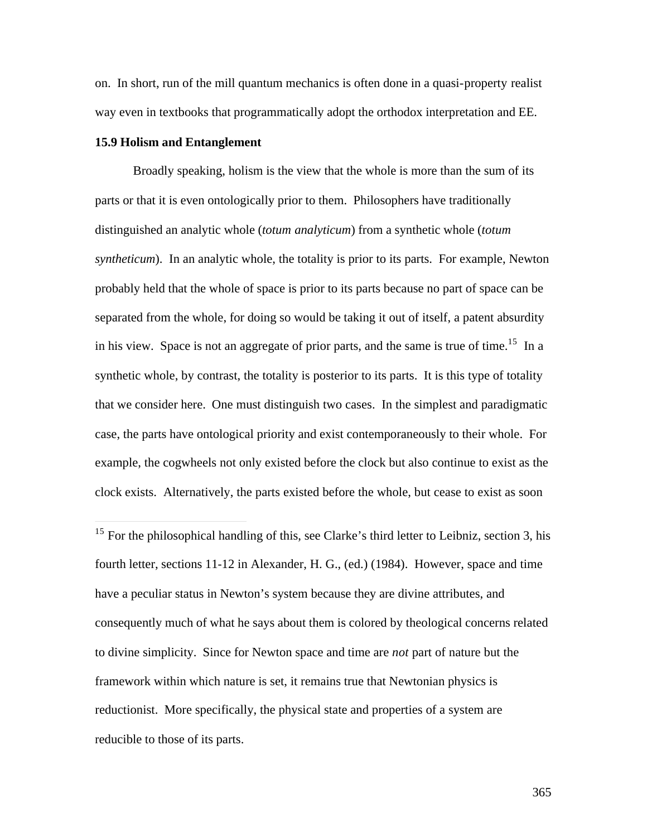on. In short, run of the mill quantum mechanics is often done in a quasi-property realist way even in textbooks that programmatically adopt the orthodox interpretation and EE.

# **15.9 Holism and Entanglement**

 $\overline{a}$ 

Broadly speaking, holism is the view that the whole is more than the sum of its parts or that it is even ontologically prior to them. Philosophers have traditionally distinguished an analytic whole (*totum analyticum*) from a synthetic whole (*totum syntheticum*). In an analytic whole, the totality is prior to its parts. For example, Newton probably held that the whole of space is prior to its parts because no part of space can be separated from the whole, for doing so would be taking it out of itself, a patent absurdity in his view. Space is not an aggregate of prior parts, and the same is true of time.<sup>15</sup> In a synthetic whole, by contrast, the totality is posterior to its parts. It is this type of totality that we consider here. One must distinguish two cases. In the simplest and paradigmatic case, the parts have ontological priority and exist contemporaneously to their whole. For example, the cogwheels not only existed before the clock but also continue to exist as the clock exists. Alternatively, the parts existed before the whole, but cease to exist as soon

 $15$  For the philosophical handling of this, see Clarke's third letter to Leibniz, section 3, his fourth letter, sections 11-12 in Alexander, H. G., (ed.) (1984). However, space and time have a peculiar status in Newton's system because they are divine attributes, and consequently much of what he says about them is colored by theological concerns related to divine simplicity. Since for Newton space and time are *not* part of nature but the framework within which nature is set, it remains true that Newtonian physics is reductionist. More specifically, the physical state and properties of a system are reducible to those of its parts.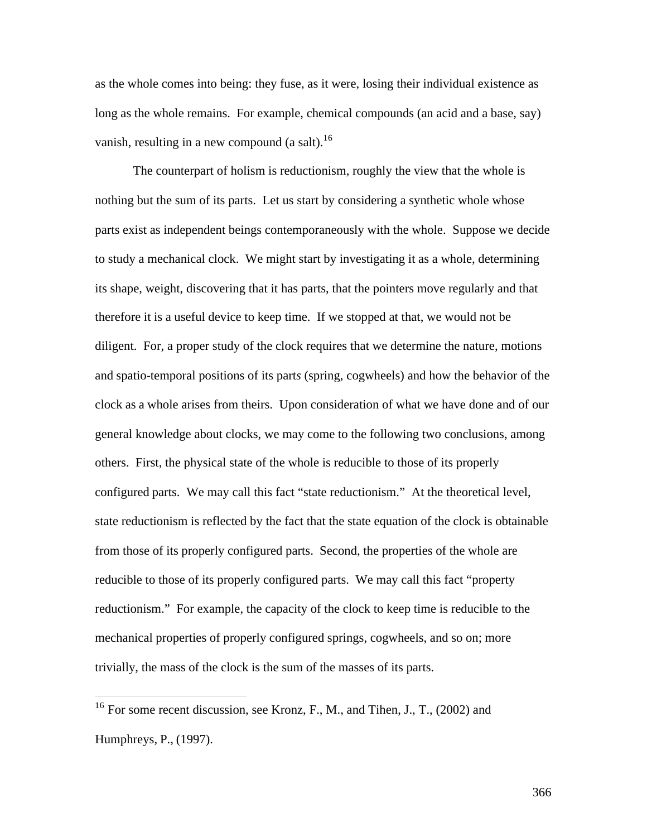as the whole comes into being: they fuse, as it were, losing their individual existence as long as the whole remains. For example, chemical compounds (an acid and a base, say) vanish, resulting in a new compound  $(a \text{ salt})$ .<sup>16</sup>

The counterpart of holism is reductionism, roughly the view that the whole is nothing but the sum of its parts. Let us start by considering a synthetic whole whose parts exist as independent beings contemporaneously with the whole. Suppose we decide to study a mechanical clock. We might start by investigating it as a whole, determining its shape, weight, discovering that it has parts, that the pointers move regularly and that therefore it is a useful device to keep time. If we stopped at that, we would not be diligent. For, a proper study of the clock requires that we determine the nature, motions and spatio-temporal positions of its part*s* (spring, cogwheels) and how the behavior of the clock as a whole arises from theirs. Upon consideration of what we have done and of our general knowledge about clocks, we may come to the following two conclusions, among others. First, the physical state of the whole is reducible to those of its properly configured parts. We may call this fact "state reductionism." At the theoretical level, state reductionism is reflected by the fact that the state equation of the clock is obtainable from those of its properly configured parts. Second, the properties of the whole are reducible to those of its properly configured parts. We may call this fact "property reductionism." For example, the capacity of the clock to keep time is reducible to the mechanical properties of properly configured springs, cogwheels, and so on; more trivially, the mass of the clock is the sum of the masses of its parts.

 $\overline{a}$ 

<sup>&</sup>lt;sup>16</sup> For some recent discussion, see Kronz, F., M., and Tihen, J., T., (2002) and Humphreys, P., (1997).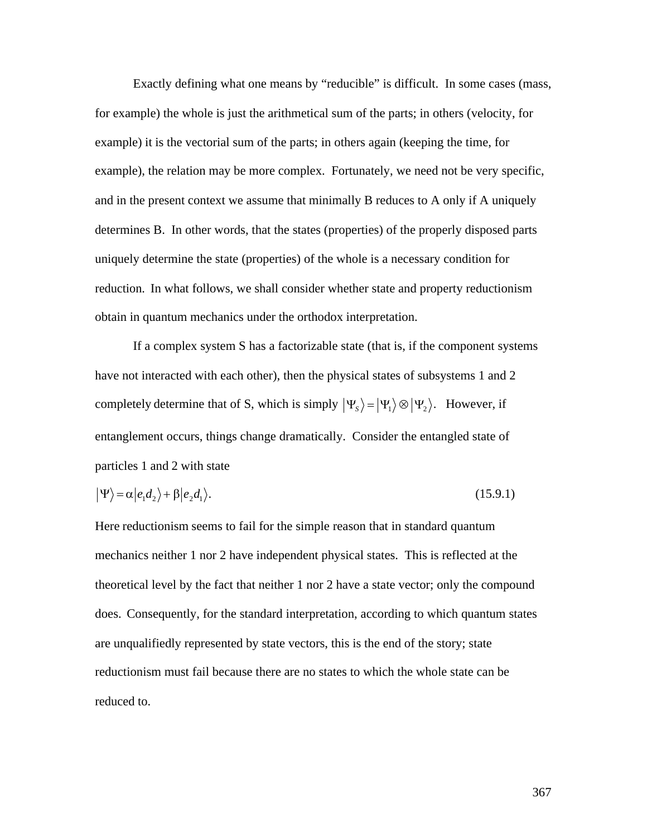Exactly defining what one means by "reducible" is difficult. In some cases (mass, for example) the whole is just the arithmetical sum of the parts; in others (velocity, for example) it is the vectorial sum of the parts; in others again (keeping the time, for example), the relation may be more complex. Fortunately, we need not be very specific, and in the present context we assume that minimally B reduces to A only if A uniquely determines B. In other words, that the states (properties) of the properly disposed parts uniquely determine the state (properties) of the whole is a necessary condition for reduction. In what follows, we shall consider whether state and property reductionism obtain in quantum mechanics under the orthodox interpretation.

If a complex system S has a factorizable state (that is, if the component systems have not interacted with each other), then the physical states of subsystems 1 and 2 completely determine that of S, which is simply  $|\Psi_s\rangle = |\Psi_1\rangle \otimes |\Psi_2\rangle$ . However, if entanglement occurs, things change dramatically. Consider the entangled state of particles 1 and 2 with state

$$
|\Psi\rangle = \alpha |e_1 d_2\rangle + \beta |e_2 d_1\rangle. \tag{15.9.1}
$$

Here reductionism seems to fail for the simple reason that in standard quantum mechanics neither 1 nor 2 have independent physical states. This is reflected at the theoretical level by the fact that neither 1 nor 2 have a state vector; only the compound does. Consequently, for the standard interpretation, according to which quantum states are unqualifiedly represented by state vectors, this is the end of the story; state reductionism must fail because there are no states to which the whole state can be reduced to.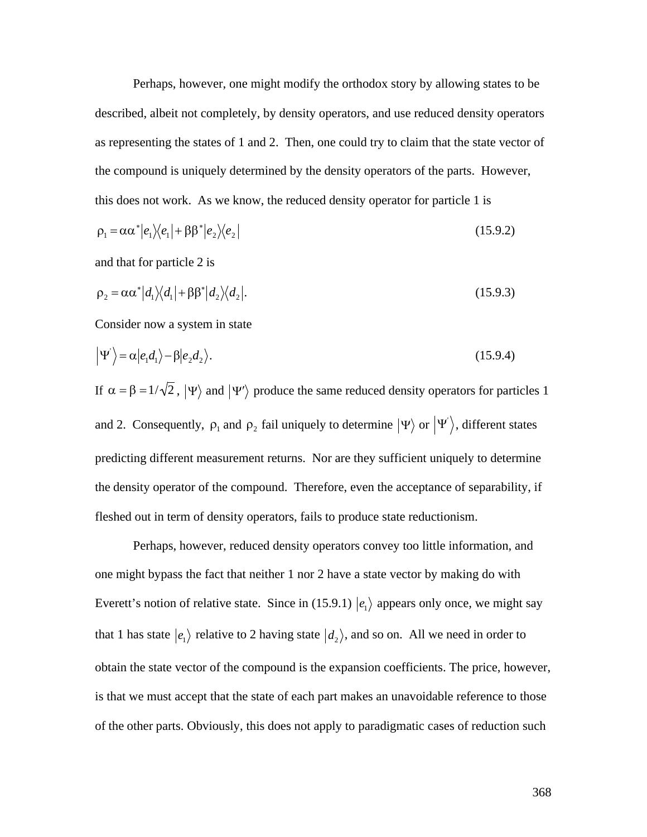Perhaps, however, one might modify the orthodox story by allowing states to be described, albeit not completely, by density operators, and use reduced density operators as representing the states of 1 and 2. Then, one could try to claim that the state vector of the compound is uniquely determined by the density operators of the parts. However, this does not work. As we know, the reduced density operator for particle 1 is

$$
\rho_1 = \alpha \alpha^* |e_1\rangle\langle e_1| + \beta \beta^* |e_2\rangle\langle e_2| \tag{15.9.2}
$$

and that for particle 2 is

$$
\rho_2 = \alpha \alpha^* |d_1\rangle\langle d_1| + \beta \beta^* |d_2\rangle\langle d_2|.
$$
\n(15.9.3)

Consider now a system in state

$$
\left|\Psi'\right\rangle = \alpha \left|e_1 d_1\right\rangle - \beta \left|e_2 d_2\right\rangle. \tag{15.9.4}
$$

If  $\alpha = \beta = 1/\sqrt{2}$ ,  $|\Psi\rangle$  and  $|\Psi'\rangle$  produce the same reduced density operators for particles 1 and 2. Consequently,  $\rho_1$  and  $\rho_2$  fail uniquely to determine  $|\Psi\rangle$  or  $|\Psi'\rangle$ , different states the density operator of the compound. Therefore, even the acceptance of separability, if predicting different measurement returns. Nor are they sufficient uniquely to determine fleshed out in term of density operators, fails to produce state reductionism.

Perhaps, however, reduced density operators convey too little information, and one might bypass the fact that neither 1 nor 2 have a state vector by making do with Everett's notion of relative state. Since in (15.9.1)  $|e_1\rangle$  appears only once, we might say  $\mathbf{H}^{\text{eff}}$ that 1 has state  $|e_1\rangle$  relative to 2 having state  $|d_2\rangle$ , and so on. All we need in order to is that we must accept that the state of each part makes an unavoidable reference to those obtain the state vector of the compound is the expansion coefficients. The price, however, of the other parts. Obviously, this does not apply to paradigmatic cases of reduction such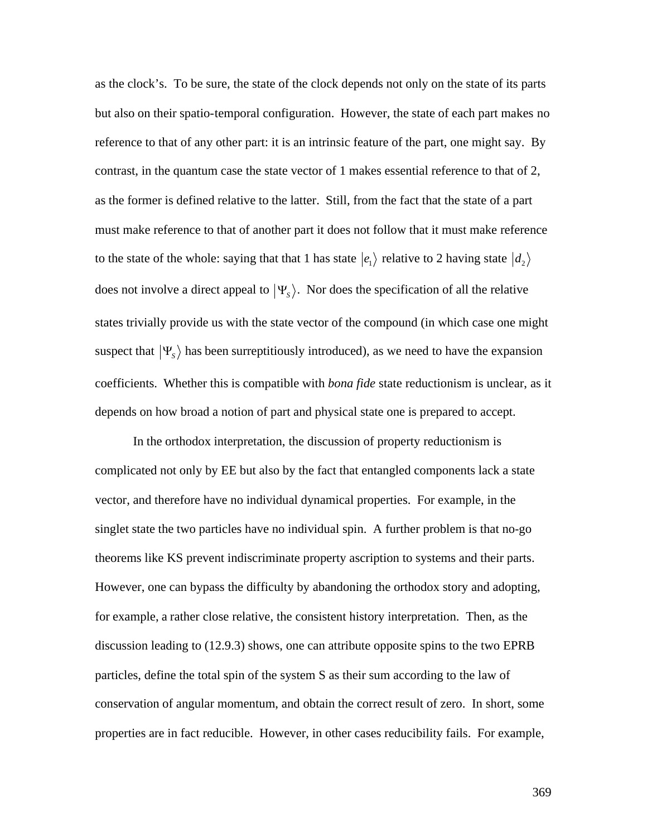as the clock's. To be sure, the state of the clock depends not only on the state of its parts but also on their spatio-temporal configuration. However, the state of each part makes no reference to that of any other part: it is an intrinsic feature of the part, one might say. By contrast, in the quantum case the state vector of 1 makes essential reference to that of 2, as the former is defined relative to the latter. Still, from the fact that the state of a part must make reference to that of another part it does not follow that it must make reference to the state of the whole: saying that that 1 has state  $|e_1\rangle$  relative to 2 having state  $|d_2\rangle$  $\mathcal{L} = \mathcal{L} \mathcal{L} = \mathcal{L} \mathcal{L} = \mathcal{L} \mathcal{L}$ does not involve a direct appeal to  $|\Psi_s\rangle$ . Nor does the specification of all the relative suspect that  $|\Psi_s\rangle$  has been surreptitiously introduced), as we need to have the expansion states trivially provide us with the state vector of the compound (in which case one might depends on how broad a notion of part and physical state one is prepared to accept. coefficients. Whether this is compatible with *bona fide* state reductionism is unclear, as it

In the orthodox interpretation, the discussion of property reductionism is complicated not only by EE but also by the fact that entangled components lack a state vector, and therefore have no individual dynamical properties. For example, in the singlet state the two particles have no individual spin. A further problem is that no-go theorems like KS prevent indiscriminate property ascription to systems and their parts. However, one can bypass the difficulty by abandoning the orthodox story and adopting, for example, a rather close relative, the consistent history interpretation. Then, as the discussion leading to (12.9.3) shows, one can attribute opposite spins to the two EPRB particles, define the total spin of the system S as their sum according to the law of conservation of angular momentum, and obtain the correct result of zero. In short, some properties are in fact reducible. However, in other cases reducibility fails. For example,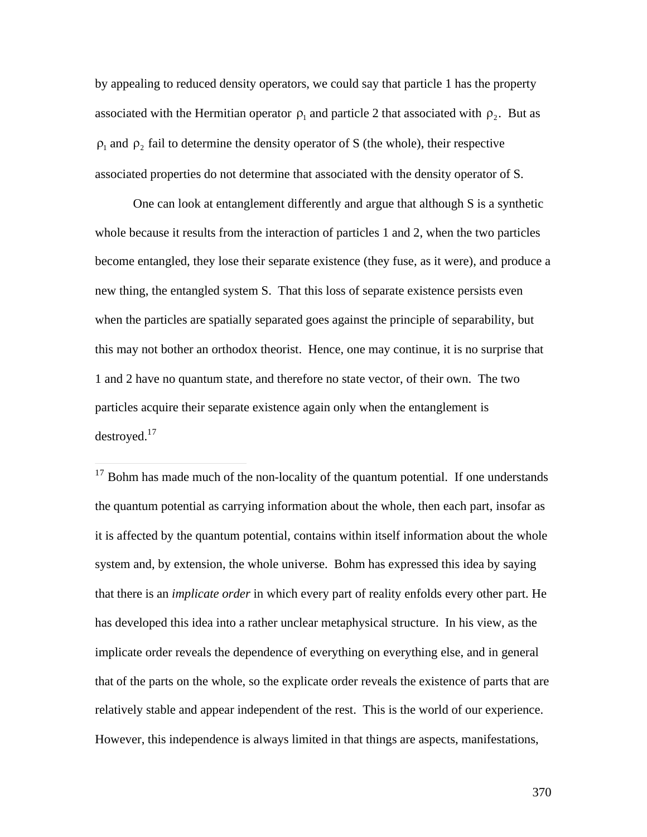by appealing to reduced density operators, we could say that particle 1 has the property associated with the Hermitian operator  $\rho_1$  and particle 2 that associated with  $\rho_2$ . But as associated properties do not determine that associated with the density operator of S.  $\rho_1$  and  $\rho_2$  fail to determine the density operator of S (the whole), their respective

One can look at entanglement differently and argue that although S is a synthetic whole because it results from the interaction of particles 1 and 2, when the two particles become entangled, they lose their separate existence (they fuse, as it were), and produce a new thing, the entangled system S. That this loss of separate existence persists even when the particles are spatially separated goes against the principle of separability, but this may not bother an orthodox theorist. Hence, one may continue, it is no surprise that 1 and 2 have no quantum state, and therefore no state vector, of their own. The two particles acquire their separate existence again only when the entanglement is destroyed. $17$ 

 $\overline{a}$ 

 $17$  Bohm has made much of the non-locality of the quantum potential. If one understands the quantum potential as carrying information about the whole, then each part, insofar as it is affected by the quantum potential, contains within itself information about the whole system and, by extension, the whole universe. Bohm has expressed this idea by saying that there is an *implicate order* in which every part of reality enfolds every other part. He has developed this idea into a rather unclear metaphysical structure. In his view, as the implicate order reveals the dependence of everything on everything else, and in general that of the parts on the whole, so the explicate order reveals the existence of parts that are relatively stable and appear independent of the rest. This is the world of our experience. However, this independence is always limited in that things are aspects, manifestations,